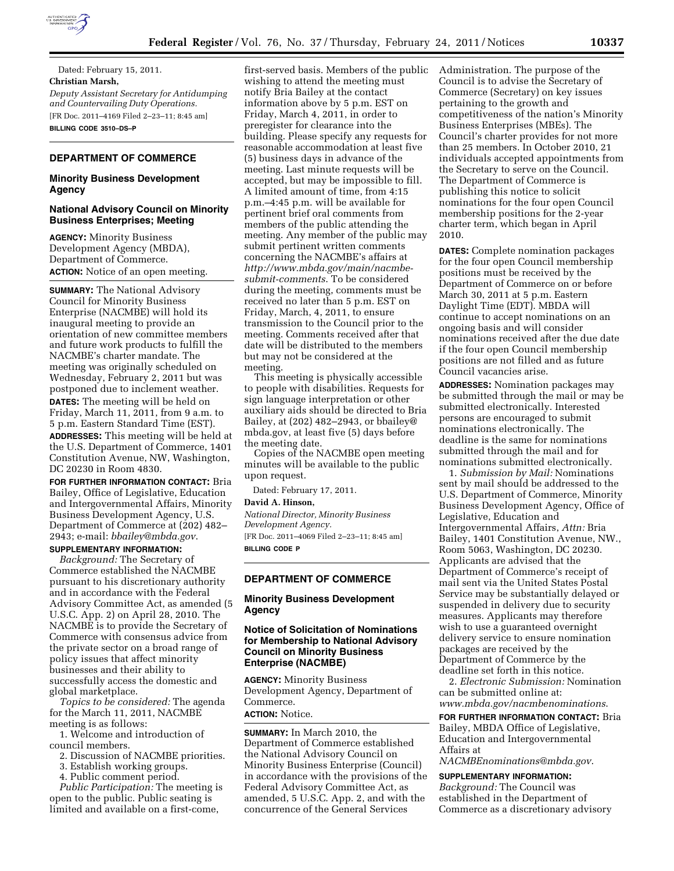

Dated: February 15, 2011. **Christian Marsh,**  *Deputy Assistant Secretary for Antidumping and Countervailing Duty Operations.*  [FR Doc. 2011–4169 Filed 2–23–11; 8:45 am] **BILLING CODE 3510–DS–P** 

# **DEPARTMENT OF COMMERCE**

## **Minority Business Development Agency**

# **National Advisory Council on Minority Business Enterprises; Meeting**

**AGENCY:** Minority Business Development Agency (MBDA), Department of Commerce. **ACTION:** Notice of an open meeting.

**SUMMARY:** The National Advisory Council for Minority Business Enterprise (NACMBE) will hold its inaugural meeting to provide an orientation of new committee members and future work products to fulfill the NACMBE's charter mandate. The meeting was originally scheduled on Wednesday, February 2, 2011 but was postponed due to inclement weather. **DATES:** The meeting will be held on Friday, March 11, 2011, from 9 a.m. to 5 p.m. Eastern Standard Time (EST). **ADDRESSES:** This meeting will be held at the U.S. Department of Commerce, 1401 Constitution Avenue, NW, Washington, DC 20230 in Room 4830.

**FOR FURTHER INFORMATION CONTACT:** Bria Bailey, Office of Legislative, Education and Intergovernmental Affairs, Minority Business Development Agency, U.S. Department of Commerce at (202) 482– 2943; e-mail: *[bbailey@mbda.gov](mailto:bbailey@mbda.gov)*.

#### **SUPPLEMENTARY INFORMATION:**

*Background:* The Secretary of Commerce established the NACMBE pursuant to his discretionary authority and in accordance with the Federal Advisory Committee Act, as amended (5 U.S.C. App. 2) on April 28, 2010. The NACMBE is to provide the Secretary of Commerce with consensus advice from the private sector on a broad range of policy issues that affect minority businesses and their ability to successfully access the domestic and global marketplace.

*Topics to be considered:* The agenda for the March 11, 2011, NACMBE meeting is as follows:

1. Welcome and introduction of council members.

- 2. Discussion of NACMBE priorities.
- 3. Establish working groups.
- 4. Public comment period.

*Public Participation:* The meeting is open to the public. Public seating is limited and available on a first-come,

first-served basis. Members of the public wishing to attend the meeting must notify Bria Bailey at the contact information above by 5 p.m. EST on Friday, March 4, 2011, in order to preregister for clearance into the building. Please specify any requests for reasonable accommodation at least five (5) business days in advance of the meeting. Last minute requests will be accepted, but may be impossible to fill. A limited amount of time, from 4:15 p.m.–4:45 p.m. will be available for pertinent brief oral comments from members of the public attending the meeting. Any member of the public may submit pertinent written comments concerning the NACMBE's affairs at *[http://www.mbda.gov/main/nacmbe](http://www.mbda.gov/main/nacmbe-submit-comments)[submit-comments](http://www.mbda.gov/main/nacmbe-submit-comments)*. To be considered during the meeting, comments must be received no later than 5 p.m. EST on Friday, March, 4, 2011, to ensure transmission to the Council prior to the meeting. Comments received after that date will be distributed to the members but may not be considered at the meeting.

This meeting is physically accessible to people with disabilities. Requests for sign language interpretation or other auxiliary aids should be directed to Bria Bailey, at (202) 482–2943, or bbailey@ mbda.gov, at least five (5) days before the meeting date.

Copies of the NACMBE open meeting minutes will be available to the public upon request.

Dated: February 17, 2011.

### **David A. Hinson,**

*National Director, Minority Business Development Agency.*  [FR Doc. 2011–4069 Filed 2–23–11; 8:45 am] **BILLING CODE P** 

#### **DEPARTMENT OF COMMERCE**

## **Minority Business Development Agency**

# **Notice of Solicitation of Nominations for Membership to National Advisory Council on Minority Business Enterprise (NACMBE)**

**AGENCY:** Minority Business Development Agency, Department of Commerce.

**ACTION:** Notice.

**SUMMARY:** In March 2010, the Department of Commerce established the National Advisory Council on Minority Business Enterprise (Council) in accordance with the provisions of the Federal Advisory Committee Act, as amended, 5 U.S.C. App. 2, and with the concurrence of the General Services

Administration. The purpose of the Council is to advise the Secretary of Commerce (Secretary) on key issues pertaining to the growth and competitiveness of the nation's Minority Business Enterprises (MBEs). The Council's charter provides for not more than 25 members. In October 2010, 21 individuals accepted appointments from the Secretary to serve on the Council. The Department of Commerce is publishing this notice to solicit nominations for the four open Council membership positions for the 2-year charter term, which began in April 2010.

**DATES:** Complete nomination packages for the four open Council membership positions must be received by the Department of Commerce on or before March 30, 2011 at 5 p.m. Eastern Daylight Time (EDT). MBDA will continue to accept nominations on an ongoing basis and will consider nominations received after the due date if the four open Council membership positions are not filled and as future Council vacancies arise.

**ADDRESSES:** Nomination packages may be submitted through the mail or may be submitted electronically. Interested persons are encouraged to submit nominations electronically. The deadline is the same for nominations submitted through the mail and for nominations submitted electronically.

1. *Submission by Mail:* Nominations sent by mail should be addressed to the U.S. Department of Commerce, Minority Business Development Agency, Office of Legislative, Education and Intergovernmental Affairs, *Attn:* Bria Bailey, 1401 Constitution Avenue, NW., Room 5063, Washington, DC 20230. Applicants are advised that the Department of Commerce's receipt of mail sent via the United States Postal Service may be substantially delayed or suspended in delivery due to security measures. Applicants may therefore wish to use a guaranteed overnight delivery service to ensure nomination packages are received by the Department of Commerce by the deadline set forth in this notice.

2. *Electronic Submission:* Nomination can be submitted online at: *[www.mbda.gov/nacmbenominations](http://www.mbda.gov/nacmbenominations)*.

**FOR FURTHER INFORMATION CONTACT:** Bria Bailey, MBDA Office of Legislative, Education and Intergovernmental Affairs at

*[NACMBEnominations@mbda.gov](mailto:NACMBEnominations@mbda.gov)*.

# **SUPPLEMENTARY INFORMATION:**

*Background:* The Council was established in the Department of Commerce as a discretionary advisory